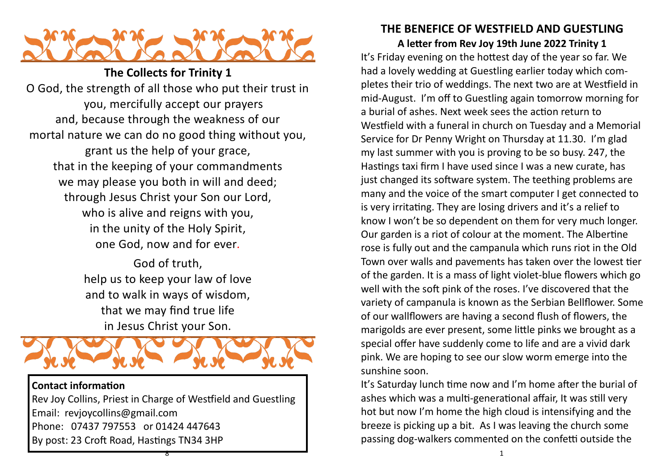

**The Collects for Trinity 1** O God, the strength of all those who put their trust in you, mercifully accept our prayers and, because through the weakness of our mortal nature we can do no good thing without you, grant us the help of your grace, that in the keeping of your commandments we may please you both in will and deed; through Jesus Christ your Son our Lord, who is alive and reigns with you, in the unity of the Holy Spirit, one God, now and for ever*.*

> God of truth, help us to keep your law of love and to walk in ways of wisdom, that we may find true life in Jesus Christ your Son.



Rev Joy Collins, Priest in Charge of Westfield and Guestling Email: revjoycollins@gmail.com Phone: 07437 797553 or 01424 447643 By post: 23 Croft Road, Hastings TN34 3HP

8

## **THE BENEFICE OF WESTFIELD AND GUESTLING**

**A letter from Rev Joy 19th June 2022 Trinity 1** It's Friday evening on the hottest day of the year so far. We had a lovely wedding at Guestling earlier today which completes their trio of weddings. The next two are at Westfield in mid-August. I'm off to Guestling again tomorrow morning for a burial of ashes. Next week sees the action return to Westfield with a funeral in church on Tuesday and a Memorial Service for Dr Penny Wright on Thursday at 11.30. I'm glad my last summer with you is proving to be so busy. 247, the Hastings taxi firm I have used since I was a new curate, has just changed its software system. The teething problems are many and the voice of the smart computer I get connected to is very irritating. They are losing drivers and it's a relief to know I won't be so dependent on them for very much longer. Our garden is a riot of colour at the moment. The Albertine rose is fully out and the campanula which runs riot in the Old Town over walls and pavements has taken over the lowest tier of the garden. It is a mass of light violet-blue flowers which go well with the soft pink of the roses. I've discovered that the variety of campanula is known as the Serbian Bellflower. Some of our wallflowers are having a second flush of flowers, the marigolds are ever present, some little pinks we brought as a special offer have suddenly come to life and are a vivid dark pink. We are hoping to see our slow worm emerge into the sunshine soon.

It's Saturday lunch time now and I'm home after the burial of ashes which was a multi-generational affair, It was still very hot but now I'm home the high cloud is intensifying and the breeze is picking up a bit. As I was leaving the church some passing dog-walkers commented on the confetti outside the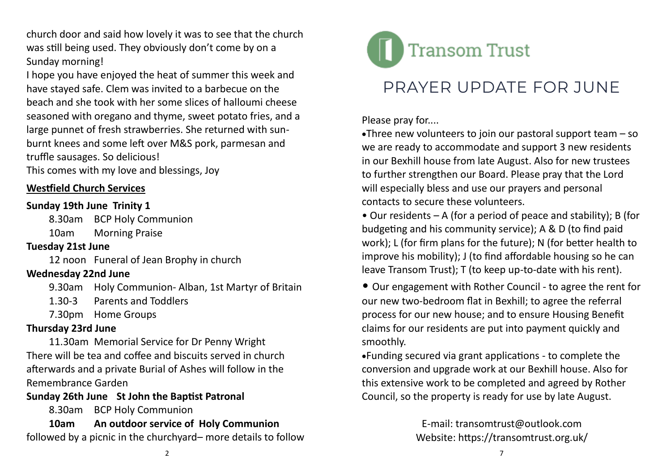church door and said how lovely it was to see that the church was still being used. They obviously don't come by on a Sunday morning!

I hope you have enjoyed the heat of summer this week and have stayed safe. Clem was invited to a barbecue on the beach and she took with her some slices of halloumi cheese seasoned with oregano and thyme, sweet potato fries, and a large punnet of fresh strawberries. She returned with sunburnt knees and some left over M&S pork, parmesan and truffle sausages. So delicious!

This comes with my love and blessings, Joy

### **Westfield Church Services**

### **Sunday 19th June Trinity 1**

8.30am BCP Holy Communion

10am Morning Praise

## **Tuesday 21st June**

12 noon Funeral of Jean Brophy in church

## **Wednesday 22nd June**

- 9.30am Holy Communion- Alban, 1st Martyr of Britain
- 1.30-3 Parents and Toddlers
- 7.30pm Home Groups

## **Thursday 23rd June**

11.30am Memorial Service for Dr Penny Wright There will be tea and coffee and biscuits served in church afterwards and a private Burial of Ashes will follow in the Remembrance Garden

## **Sunday 26th June St John the Baptist Patronal**

8.30am BCP Holy Communion

**10am An outdoor service of Holy Communion**  followed by a picnic in the churchyard– more details to follow



# PRAYER UPDATE FOR JUNE

Please pray for....

•Three new volunteers to join our pastoral support team – so we are ready to accommodate and support 3 new residents in our Bexhill house from late August. Also for new trustees to further strengthen our Board. Please pray that the Lord will especially bless and use our prayers and personal contacts to secure these volunteers.

• Our residents – A (for a period of peace and stability); B (for budgeting and his community service); A & D (to find paid work); L (for firm plans for the future); N (for better health to improve his mobility); J (to find affordable housing so he can leave Transom Trust); T (to keep up-to-date with his rent).

• Our engagement with Rother Council - to agree the rent for our new two-bedroom flat in Bexhill; to agree the referral process for our new house; and to ensure Housing Benefit claims for our residents are put into payment quickly and smoothly.

•Funding secured via grant applications - to complete the conversion and upgrade work at our Bexhill house. Also for this extensive work to be completed and agreed by Rother Council, so the property is ready for use by late August.

> E-mail: transomtrust@outlook.com Website: https://transomtrust.org.uk/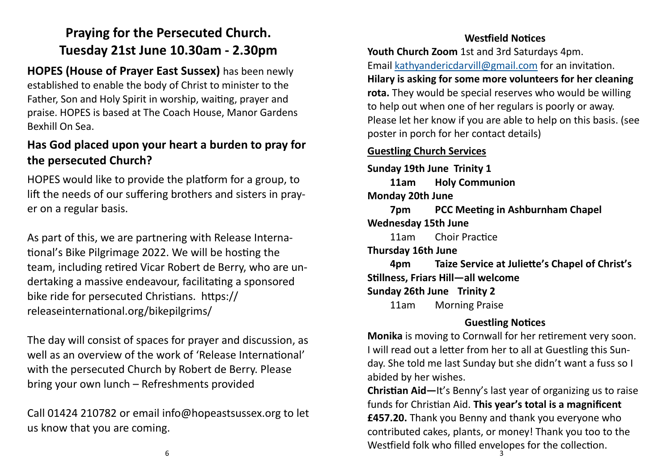## **Praying for the Persecuted Church. Tuesday 21st June 10.30am - 2.30pm**

**HOPES (House of Prayer East Sussex)** has been newly established to enable the body of Christ to minister to the Father, Son and Holy Spirit in worship, waiting, prayer and praise. HOPES is based at The Coach House, Manor Gardens Bexhill On Sea.

## **Has God placed upon your heart a burden to pray for the persecuted Church?**

HOPES would like to provide the platform for a group, to lift the needs of our suffering brothers and sisters in prayer on a regular basis.

As part of this, we are partnering with Release International's Bike Pilgrimage 2022. We will be hosting the team, including retired Vicar Robert de Berry, who are undertaking a massive endeavour, facilitating a sponsored bike ride for persecuted Christians. https:// releaseinternational.org/bikepilgrims/

The day will consist of spaces for prayer and discussion, as well as an overview of the work of 'Release International' with the persecuted Church by Robert de Berry. Please bring your own lunch – Refreshments provided

Call 01424 210782 or email info@hopeastsussex.org to let us know that you are coming.

### **Westfield Notices**

**Youth Church Zoom** 1st and 3rd Saturdays 4pm. Email [kathyandericdarvill@gmail.com](mailto:kathyandericdarvill@gmail.com) for an invitation. **Hilary is asking for some more volunteers for her cleaning rota.** They would be special reserves who would be willing to help out when one of her regulars is poorly or away. Please let her know if you are able to help on this basis. (see poster in porch for her contact details)

### **Guestling Church Services**

**Sunday 19th June Trinity 1 11am Holy Communion Monday 20th June 7pm PCC Meeting in Ashburnham Chapel Wednesday 15th June** 11am Choir Practice **Thursday 16th June 4pm Taize Service at Juliette's Chapel of Christ's Stillness, Friars Hill—all welcome Sunday 26th June Trinity 2** 11am Morning Praise

### **Guestling Notices**

**Monika** is moving to Cornwall for her retirement very soon. I will read out a letter from her to all at Guestling this Sunday. She told me last Sunday but she didn't want a fuss so I abided by her wishes.

Westfield folk who filled envelopes for the collection.<br> $\frac{3}{3}$ **Christian Aid—**It's Benny's last year of organizing us to raise funds for Christian Aid. **This year's total is a magnificent £457.20.** Thank you Benny and thank you everyone who contributed cakes, plants, or money! Thank you too to the